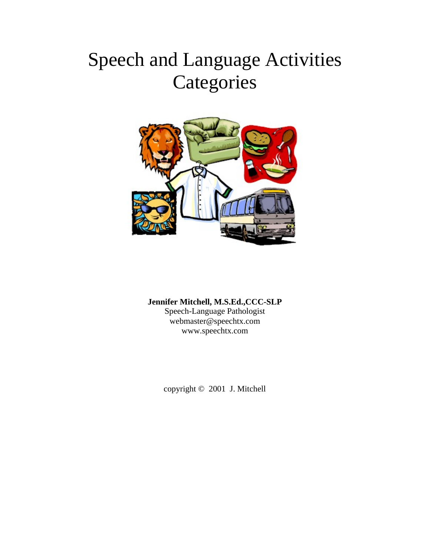### Speech and Language Activities **Categories**



#### **Jennifer Mitchell, M.S.Ed.,CCC-SLP**

Speech-Language Pathologist webmaster@speechtx.com www.speechtx.com

copyright © 2001 J. Mitchell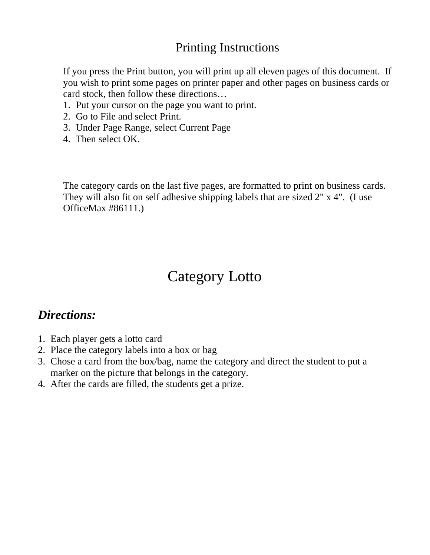#### Printing Instructions

If you press the Print button, you will print up all eleven pages of this document. If you wish to print some pages on printer paper and other pages on business cards or card stock, then follow these directions…

- 1. Put your cursor on the page you want to print.
- 2. Go to File and select Print.
- 3. Under Page Range, select Current Page
- 4. Then select OK.

The category cards on the last five pages, are formatted to print on business cards. They will also fit on self adhesive shipping labels that are sized 2" x 4". (I use OfficeMax #86111.)

### Category Lotto

#### *Directions:*

- 1. Each player gets a lotto card
- 2. Place the category labels into a box or bag
- 3. Chose a card from the box/bag, name the category and direct the student to put a marker on the picture that belongs in the category.
- 4. After the cards are filled, the students get a prize.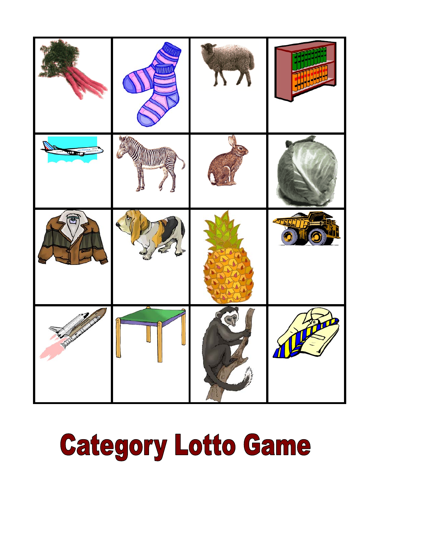

### **Category Lotto Game**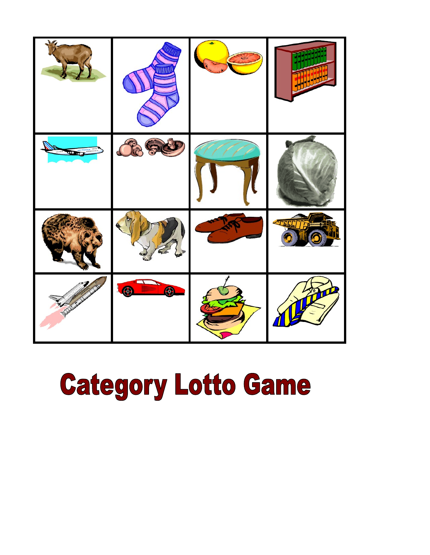

## **Category Lotto Game**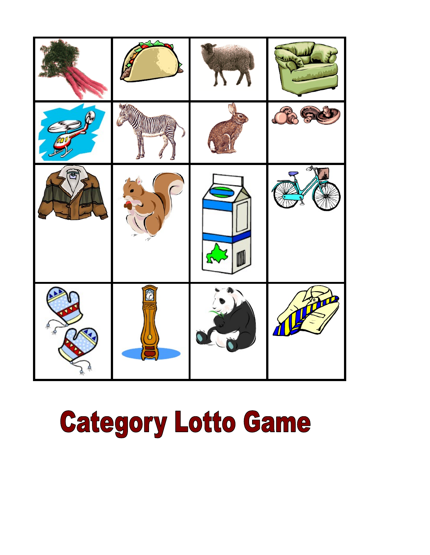

# **Category Lotto Game**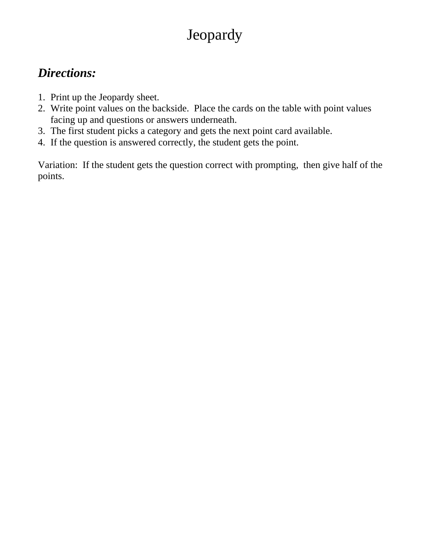### Jeopardy

#### *Directions:*

- 1. Print up the Jeopardy sheet.
- 2. Write point values on the backside. Place the cards on the table with point values facing up and questions or answers underneath.
- 3. The first student picks a category and gets the next point card available.
- 4. If the question is answered correctly, the student gets the point.

Variation: If the student gets the question correct with prompting, then give half of the points.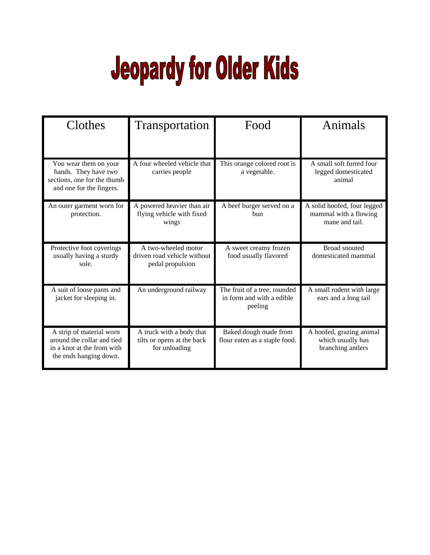# **Jeopardy for Older Kids**

| Clothes                                                                                                         | <b>Transportation</b>                                                   | Food                                                                 | Animals                                                                |
|-----------------------------------------------------------------------------------------------------------------|-------------------------------------------------------------------------|----------------------------------------------------------------------|------------------------------------------------------------------------|
| You wear them on your<br>hands. They have two<br>sections, one for the thumb<br>and one for the fingers.        | A four wheeled vehicle that<br>carries people                           | This orange colored root is<br>a vegetable.                          | A small soft furred four<br>legged domesticated<br>animal              |
| An outer garment worn for<br>protection.                                                                        | A powered heavier than air<br>flying vehicle with fixed<br>wings        | A beef burger served on a<br>bun                                     | A solid hoofed, four legged<br>mammal with a flowing<br>mane and tail. |
| Protective foot coverings<br>usually having a sturdy<br>sole.                                                   | A two-wheeled motor<br>driven road vehicle without<br>pedal propulsion  | A sweet creamy frozen<br>food usually flavored                       | <b>Broad</b> snouted<br>domesticated mammal                            |
| A suit of loose pants and<br>jacket for sleeping in.                                                            | An underground railway                                                  | The fruit of a tree, rounded<br>in form and with a edible<br>peeling | A small rodent with large<br>ears and a long tail                      |
| A strip of material worn<br>around the collar and tied<br>in a knot at the front with<br>the ends hanging down. | A truck with a body that<br>tilts or opens at the back<br>for unloading | Baked dough made from<br>flour eaten as a staple food.               | A hoofed, grazing animal<br>which usually has<br>branching antlers     |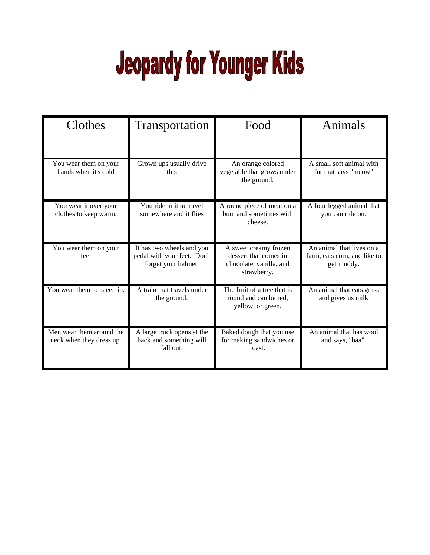# **Jeopardy for Younger Kids**

| Clothes                                              | Transportation                                                                  | Food                                                                                     | Animals                                                                 |
|------------------------------------------------------|---------------------------------------------------------------------------------|------------------------------------------------------------------------------------------|-------------------------------------------------------------------------|
| You wear them on your<br>hands when it's cold        | Grown ups usually drive<br>this                                                 | An orange colored<br>vegetable that grows under<br>the ground.                           | A small soft animal with<br>fur that says "meow"                        |
| You wear it over your<br>clothes to keep warm.       | You ride in it to travel<br>somewhere and it flies                              | A round piece of meat on a<br>bun and sometimes with<br>cheese.                          | A four legged animal that<br>you can ride on.                           |
| You wear them on your<br>feet                        | It has two wheels and you<br>pedal with your feet. Don't<br>forget your helmet. | A sweet creamy frozen<br>dessert that comes in<br>chocolate, vanilla, and<br>strawberry. | An animal that lives on a<br>farm, eats corn, and like to<br>get muddy. |
| You wear them to sleep in.                           | A train that travels under<br>the ground.                                       | The fruit of a tree that is<br>round and can be red,<br>yellow, or green.                | An animal that eats grass<br>and gives us milk                          |
| Men wear them around the<br>neck when they dress up. | A large truck opens at the<br>back and something will<br>fall out.              | Baked dough that you use<br>for making sandwiches or<br>toast.                           | An animal that has wool<br>and says, "baa".                             |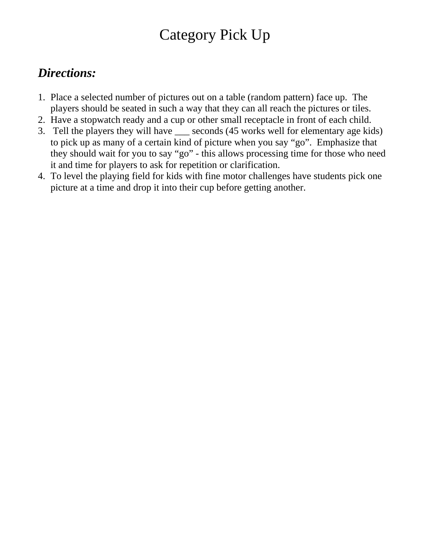### Category Pick Up

#### *Directions:*

- 1. Place a selected number of pictures out on a table (random pattern) face up. The players should be seated in such a way that they can all reach the pictures or tiles.
- 2. Have a stopwatch ready and a cup or other small receptacle in front of each child.
- 3. Tell the players they will have \_\_\_ seconds (45 works well for elementary age kids) to pick up as many of a certain kind of picture when you say "go". Emphasize that they should wait for you to say "go" - this allows processing time for those who need it and time for players to ask for repetition or clarification.
- 4. To level the playing field for kids with fine motor challenges have students pick one picture at a time and drop it into their cup before getting another.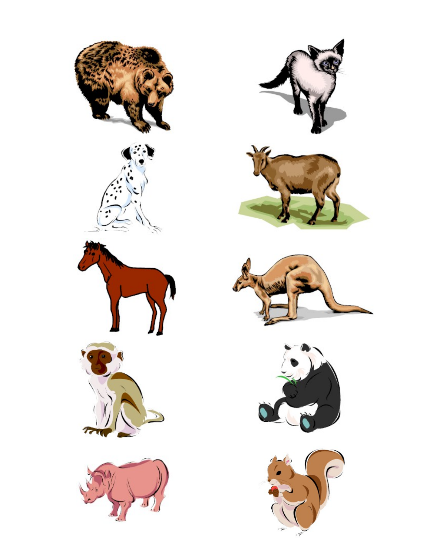









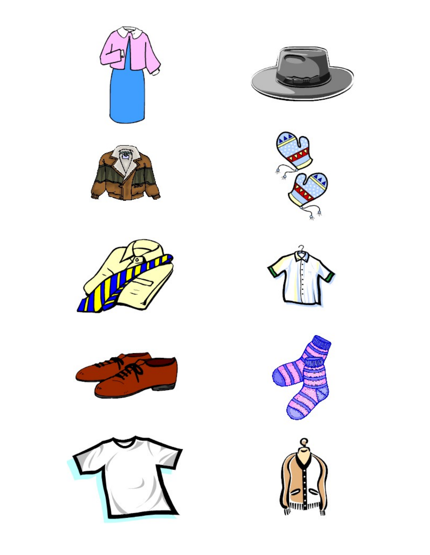

















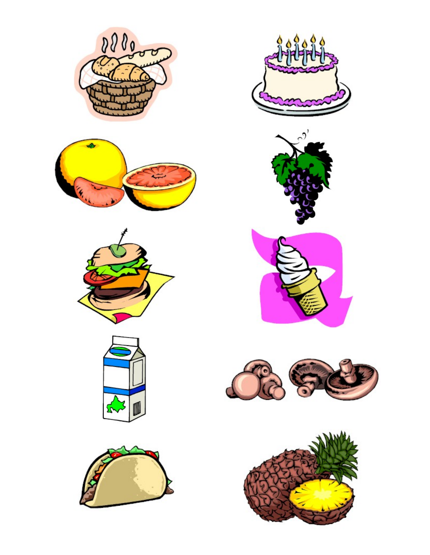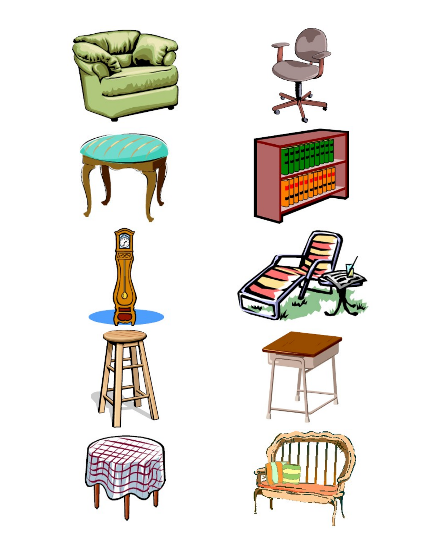